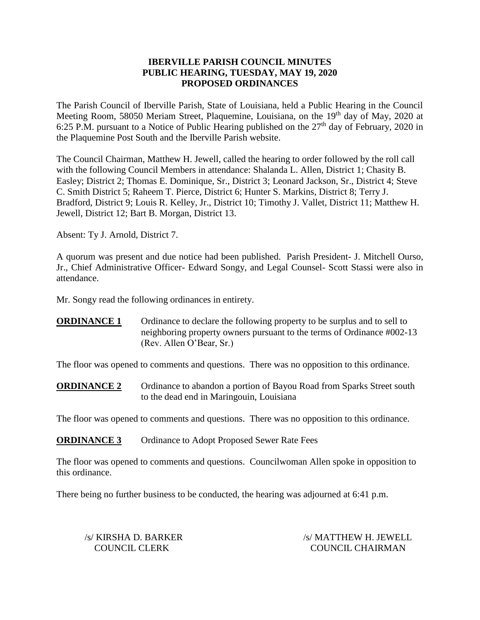## **IBERVILLE PARISH COUNCIL MINUTES PUBLIC HEARING, TUESDAY, MAY 19, 2020 PROPOSED ORDINANCES**

The Parish Council of Iberville Parish, State of Louisiana, held a Public Hearing in the Council Meeting Room, 58050 Meriam Street, Plaquemine, Louisiana, on the 19<sup>th</sup> day of May, 2020 at 6:25 P.M. pursuant to a Notice of Public Hearing published on the  $27<sup>th</sup>$  day of February, 2020 in the Plaquemine Post South and the Iberville Parish website.

The Council Chairman, Matthew H. Jewell, called the hearing to order followed by the roll call with the following Council Members in attendance: Shalanda L. Allen, District 1; Chasity B. Easley; District 2; Thomas E. Dominique, Sr., District 3; Leonard Jackson, Sr., District 4; Steve C. Smith District 5; Raheem T. Pierce, District 6; Hunter S. Markins, District 8; Terry J. Bradford, District 9; Louis R. Kelley, Jr., District 10; Timothy J. Vallet, District 11; Matthew H. Jewell, District 12; Bart B. Morgan, District 13.

Absent: Ty J. Arnold, District 7.

A quorum was present and due notice had been published. Parish President- J. Mitchell Ourso, Jr., Chief Administrative Officer- Edward Songy, and Legal Counsel- Scott Stassi were also in attendance.

Mr. Songy read the following ordinances in entirety.

**ORDINANCE 1** Ordinance to declare the following property to be surplus and to sell to neighboring property owners pursuant to the terms of Ordinance #002-13 (Rev. Allen O'Bear, Sr.)

The floor was opened to comments and questions. There was no opposition to this ordinance.

**ORDINANCE 2** Ordinance to abandon a portion of Bayou Road from Sparks Street south to the dead end in Maringouin, Louisiana

The floor was opened to comments and questions. There was no opposition to this ordinance.

**ORDINANCE 3** Ordinance to Adopt Proposed Sewer Rate Fees

The floor was opened to comments and questions. Councilwoman Allen spoke in opposition to this ordinance.

There being no further business to be conducted, the hearing was adjourned at 6:41 p.m.

/s/ KIRSHA D. BARKER /s/ MATTHEW H. JEWELL COUNCIL CLERK COUNCIL CHAIRMAN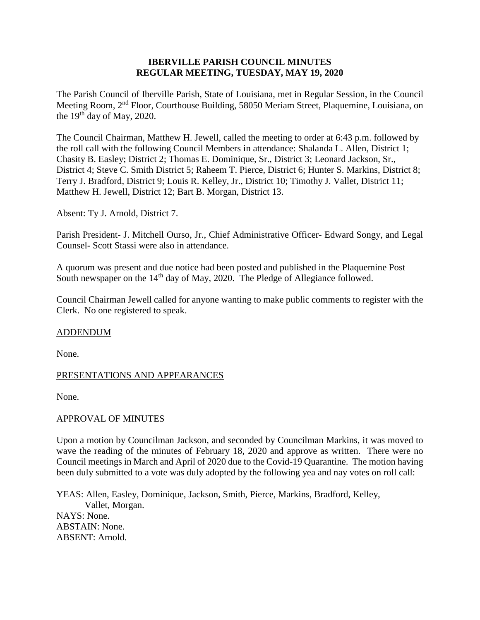## **IBERVILLE PARISH COUNCIL MINUTES REGULAR MEETING, TUESDAY, MAY 19, 2020**

The Parish Council of Iberville Parish, State of Louisiana, met in Regular Session, in the Council Meeting Room, 2nd Floor, Courthouse Building, 58050 Meriam Street, Plaquemine, Louisiana, on the  $19<sup>th</sup>$  day of May, 2020.

The Council Chairman, Matthew H. Jewell, called the meeting to order at 6:43 p.m. followed by the roll call with the following Council Members in attendance: Shalanda L. Allen, District 1; Chasity B. Easley; District 2; Thomas E. Dominique, Sr., District 3; Leonard Jackson, Sr., District 4; Steve C. Smith District 5; Raheem T. Pierce, District 6; Hunter S. Markins, District 8; Terry J. Bradford, District 9; Louis R. Kelley, Jr., District 10; Timothy J. Vallet, District 11; Matthew H. Jewell, District 12; Bart B. Morgan, District 13.

Absent: Ty J. Arnold, District 7.

Parish President- J. Mitchell Ourso, Jr., Chief Administrative Officer- Edward Songy, and Legal Counsel- Scott Stassi were also in attendance.

A quorum was present and due notice had been posted and published in the Plaquemine Post South newspaper on the 14<sup>th</sup> day of May, 2020. The Pledge of Allegiance followed.

Council Chairman Jewell called for anyone wanting to make public comments to register with the Clerk. No one registered to speak.

#### ADDENDUM

None.

## PRESENTATIONS AND APPEARANCES

None.

#### APPROVAL OF MINUTES

Upon a motion by Councilman Jackson, and seconded by Councilman Markins, it was moved to wave the reading of the minutes of February 18, 2020 and approve as written. There were no Council meetings in March and April of 2020 due to the Covid-19 Quarantine. The motion having been duly submitted to a vote was duly adopted by the following yea and nay votes on roll call:

YEAS: Allen, Easley, Dominique, Jackson, Smith, Pierce, Markins, Bradford, Kelley, Vallet, Morgan. NAYS: None. ABSTAIN: None. ABSENT: Arnold.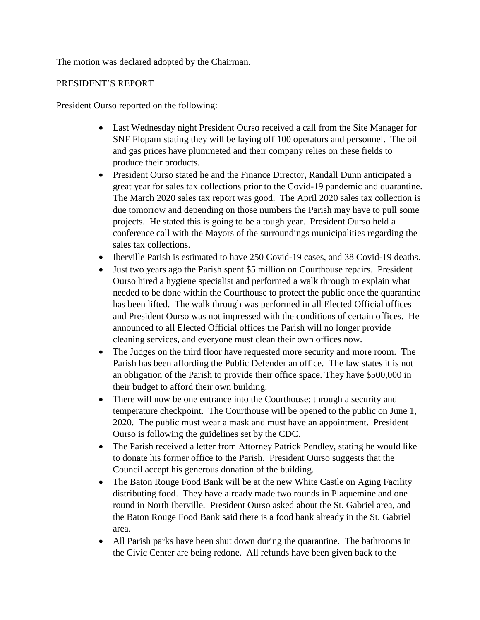The motion was declared adopted by the Chairman.

## PRESIDENT'S REPORT

President Ourso reported on the following:

- Last Wednesday night President Ourso received a call from the Site Manager for SNF Flopam stating they will be laying off 100 operators and personnel. The oil and gas prices have plummeted and their company relies on these fields to produce their products.
- President Ourso stated he and the Finance Director, Randall Dunn anticipated a great year for sales tax collections prior to the Covid-19 pandemic and quarantine. The March 2020 sales tax report was good. The April 2020 sales tax collection is due tomorrow and depending on those numbers the Parish may have to pull some projects. He stated this is going to be a tough year. President Ourso held a conference call with the Mayors of the surroundings municipalities regarding the sales tax collections.
- Iberville Parish is estimated to have 250 Covid-19 cases, and 38 Covid-19 deaths.
- Just two years ago the Parish spent \$5 million on Courthouse repairs. President Ourso hired a hygiene specialist and performed a walk through to explain what needed to be done within the Courthouse to protect the public once the quarantine has been lifted. The walk through was performed in all Elected Official offices and President Ourso was not impressed with the conditions of certain offices. He announced to all Elected Official offices the Parish will no longer provide cleaning services, and everyone must clean their own offices now.
- The Judges on the third floor have requested more security and more room. The Parish has been affording the Public Defender an office. The law states it is not an obligation of the Parish to provide their office space. They have \$500,000 in their budget to afford their own building.
- There will now be one entrance into the Courthouse; through a security and temperature checkpoint. The Courthouse will be opened to the public on June 1, 2020. The public must wear a mask and must have an appointment. President Ourso is following the guidelines set by the CDC.
- The Parish received a letter from Attorney Patrick Pendley, stating he would like to donate his former office to the Parish. President Ourso suggests that the Council accept his generous donation of the building.
- The Baton Rouge Food Bank will be at the new White Castle on Aging Facility distributing food. They have already made two rounds in Plaquemine and one round in North Iberville. President Ourso asked about the St. Gabriel area, and the Baton Rouge Food Bank said there is a food bank already in the St. Gabriel area.
- All Parish parks have been shut down during the quarantine. The bathrooms in the Civic Center are being redone. All refunds have been given back to the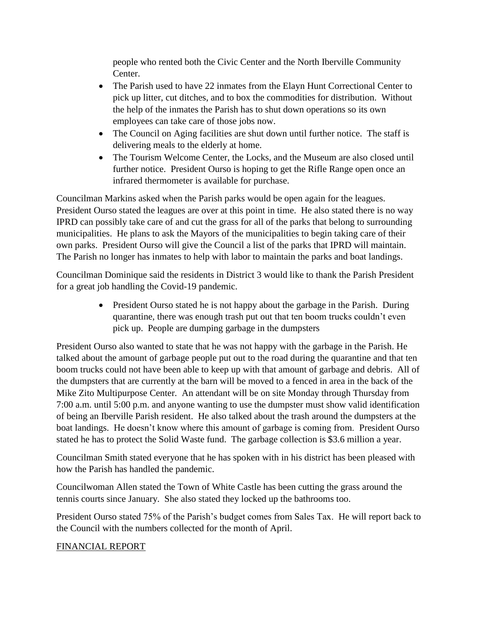people who rented both the Civic Center and the North Iberville Community Center.

- The Parish used to have 22 inmates from the Elayn Hunt Correctional Center to pick up litter, cut ditches, and to box the commodities for distribution. Without the help of the inmates the Parish has to shut down operations so its own employees can take care of those jobs now.
- The Council on Aging facilities are shut down until further notice. The staff is delivering meals to the elderly at home.
- The Tourism Welcome Center, the Locks, and the Museum are also closed until further notice. President Ourso is hoping to get the Rifle Range open once an infrared thermometer is available for purchase.

Councilman Markins asked when the Parish parks would be open again for the leagues. President Ourso stated the leagues are over at this point in time. He also stated there is no way IPRD can possibly take care of and cut the grass for all of the parks that belong to surrounding municipalities. He plans to ask the Mayors of the municipalities to begin taking care of their own parks. President Ourso will give the Council a list of the parks that IPRD will maintain. The Parish no longer has inmates to help with labor to maintain the parks and boat landings.

Councilman Dominique said the residents in District 3 would like to thank the Parish President for a great job handling the Covid-19 pandemic.

> • President Ourso stated he is not happy about the garbage in the Parish. During quarantine, there was enough trash put out that ten boom trucks couldn't even pick up. People are dumping garbage in the dumpsters

President Ourso also wanted to state that he was not happy with the garbage in the Parish. He talked about the amount of garbage people put out to the road during the quarantine and that ten boom trucks could not have been able to keep up with that amount of garbage and debris. All of the dumpsters that are currently at the barn will be moved to a fenced in area in the back of the Mike Zito Multipurpose Center. An attendant will be on site Monday through Thursday from 7:00 a.m. until 5:00 p.m. and anyone wanting to use the dumpster must show valid identification of being an Iberville Parish resident. He also talked about the trash around the dumpsters at the boat landings. He doesn't know where this amount of garbage is coming from. President Ourso stated he has to protect the Solid Waste fund. The garbage collection is \$3.6 million a year.

Councilman Smith stated everyone that he has spoken with in his district has been pleased with how the Parish has handled the pandemic.

Councilwoman Allen stated the Town of White Castle has been cutting the grass around the tennis courts since January. She also stated they locked up the bathrooms too.

President Ourso stated 75% of the Parish's budget comes from Sales Tax. He will report back to the Council with the numbers collected for the month of April.

# FINANCIAL REPORT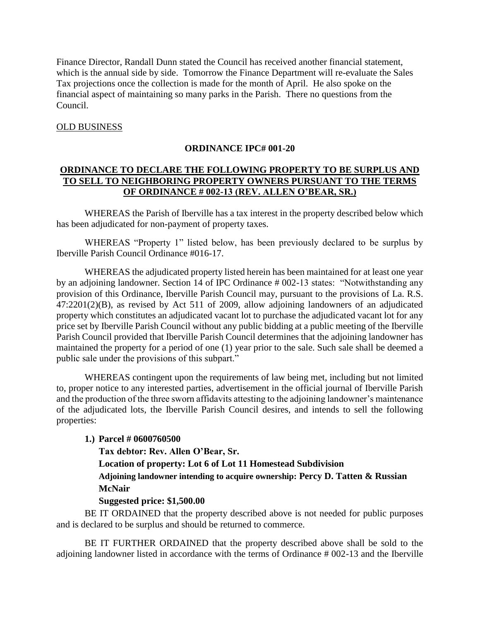Finance Director, Randall Dunn stated the Council has received another financial statement, which is the annual side by side. Tomorrow the Finance Department will re-evaluate the Sales Tax projections once the collection is made for the month of April. He also spoke on the financial aspect of maintaining so many parks in the Parish. There no questions from the Council.

#### OLD BUSINESS

#### **ORDINANCE IPC# 001-20**

### **ORDINANCE TO DECLARE THE FOLLOWING PROPERTY TO BE SURPLUS AND TO SELL TO NEIGHBORING PROPERTY OWNERS PURSUANT TO THE TERMS OF ORDINANCE # 002-13 (REV. ALLEN O'BEAR, SR.)**

WHEREAS the Parish of Iberville has a tax interest in the property described below which has been adjudicated for non-payment of property taxes.

WHEREAS "Property 1" listed below, has been previously declared to be surplus by Iberville Parish Council Ordinance #016-17.

WHEREAS the adjudicated property listed herein has been maintained for at least one year by an adjoining landowner. Section 14 of IPC Ordinance # 002-13 states: "Notwithstanding any provision of this Ordinance, Iberville Parish Council may, pursuant to the provisions of La. R.S. 47:2201(2)(B), as revised by Act 511 of 2009, allow adjoining landowners of an adjudicated property which constitutes an adjudicated vacant lot to purchase the adjudicated vacant lot for any price set by Iberville Parish Council without any public bidding at a public meeting of the Iberville Parish Council provided that Iberville Parish Council determines that the adjoining landowner has maintained the property for a period of one (1) year prior to the sale. Such sale shall be deemed a public sale under the provisions of this subpart."

WHEREAS contingent upon the requirements of law being met, including but not limited to, proper notice to any interested parties, advertisement in the official journal of Iberville Parish and the production of the three sworn affidavits attesting to the adjoining landowner's maintenance of the adjudicated lots, the Iberville Parish Council desires, and intends to sell the following properties:

#### **1.) Parcel # 0600760500**

**Tax debtor: Rev. Allen O'Bear, Sr.**

**Location of property: Lot 6 of Lot 11 Homestead Subdivision**

**Adjoining landowner intending to acquire ownership: Percy D. Tatten & Russian McNair**

#### **Suggested price: \$1,500.00**

BE IT ORDAINED that the property described above is not needed for public purposes and is declared to be surplus and should be returned to commerce.

BE IT FURTHER ORDAINED that the property described above shall be sold to the adjoining landowner listed in accordance with the terms of Ordinance # 002-13 and the Iberville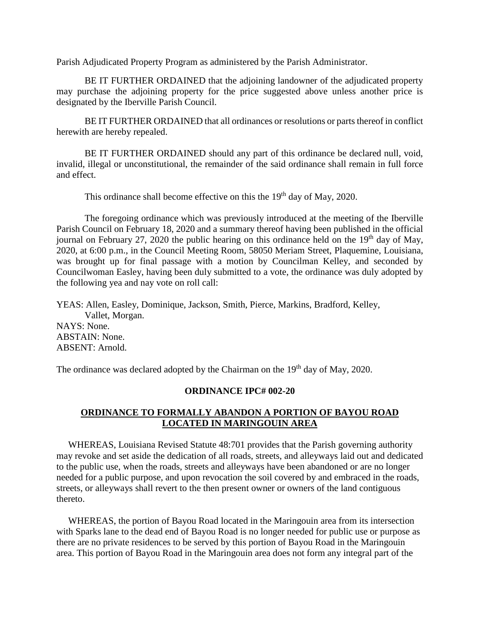Parish Adjudicated Property Program as administered by the Parish Administrator.

BE IT FURTHER ORDAINED that the adjoining landowner of the adjudicated property may purchase the adjoining property for the price suggested above unless another price is designated by the Iberville Parish Council.

BE IT FURTHER ORDAINED that all ordinances or resolutions or parts thereof in conflict herewith are hereby repealed.

BE IT FURTHER ORDAINED should any part of this ordinance be declared null, void, invalid, illegal or unconstitutional, the remainder of the said ordinance shall remain in full force and effect.

This ordinance shall become effective on this the 19<sup>th</sup> day of May, 2020.

 The foregoing ordinance which was previously introduced at the meeting of the Iberville Parish Council on February 18, 2020 and a summary thereof having been published in the official journal on February 27, 2020 the public hearing on this ordinance held on the  $19<sup>th</sup>$  day of May, 2020, at 6:00 p.m., in the Council Meeting Room, 58050 Meriam Street, Plaquemine, Louisiana, was brought up for final passage with a motion by Councilman Kelley, and seconded by Councilwoman Easley, having been duly submitted to a vote, the ordinance was duly adopted by the following yea and nay vote on roll call:

YEAS: Allen, Easley, Dominique, Jackson, Smith, Pierce, Markins, Bradford, Kelley, Vallet, Morgan. NAYS: None. ABSTAIN: None. ABSENT: Arnold.

The ordinance was declared adopted by the Chairman on the 19<sup>th</sup> day of May, 2020.

#### **ORDINANCE IPC# 002-20**

## **ORDINANCE TO FORMALLY ABANDON A PORTION OF BAYOU ROAD LOCATED IN MARINGOUIN AREA**

 WHEREAS, Louisiana Revised Statute 48:701 provides that the Parish governing authority may revoke and set aside the dedication of all roads, streets, and alleyways laid out and dedicated to the public use, when the roads, streets and alleyways have been abandoned or are no longer needed for a public purpose, and upon revocation the soil covered by and embraced in the roads, streets, or alleyways shall revert to the then present owner or owners of the land contiguous thereto.

 WHEREAS, the portion of Bayou Road located in the Maringouin area from its intersection with Sparks lane to the dead end of Bayou Road is no longer needed for public use or purpose as there are no private residences to be served by this portion of Bayou Road in the Maringouin area. This portion of Bayou Road in the Maringouin area does not form any integral part of the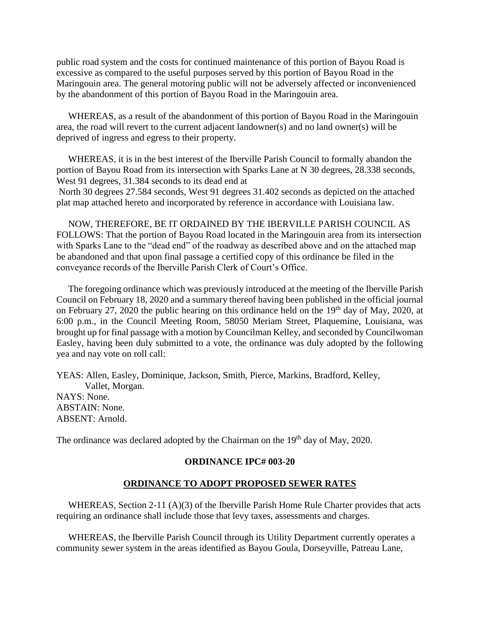public road system and the costs for continued maintenance of this portion of Bayou Road is excessive as compared to the useful purposes served by this portion of Bayou Road in the Maringouin area. The general motoring public will not be adversely affected or inconvenienced by the abandonment of this portion of Bayou Road in the Maringouin area.

 WHEREAS, as a result of the abandonment of this portion of Bayou Road in the Maringouin area, the road will revert to the current adjacent landowner(s) and no land owner(s) will be deprived of ingress and egress to their property.

 WHEREAS, it is in the best interest of the Iberville Parish Council to formally abandon the portion of Bayou Road from its intersection with Sparks Lane at N 30 degrees, 28.338 seconds, West 91 degrees, 31.384 seconds to its dead end at North 30 degrees 27.584 seconds, West 91 degrees 31.402 seconds as depicted on the attached plat map attached hereto and incorporated by reference in accordance with Louisiana law.

 NOW, THEREFORE, BE IT ORDAINED BY THE IBERVILLE PARISH COUNCIL AS FOLLOWS: That the portion of Bayou Road located in the Maringouin area from its intersection with Sparks Lane to the "dead end" of the roadway as described above and on the attached map be abandoned and that upon final passage a certified copy of this ordinance be filed in the conveyance records of the Iberville Parish Clerk of Court's Office.

 The foregoing ordinance which was previously introduced at the meeting of the Iberville Parish Council on February 18, 2020 and a summary thereof having been published in the official journal on February 27, 2020 the public hearing on this ordinance held on the 19<sup>th</sup> day of May, 2020, at 6:00 p.m., in the Council Meeting Room, 58050 Meriam Street, Plaquemine, Louisiana, was brought up for final passage with a motion by Councilman Kelley, and seconded by Councilwoman Easley, having been duly submitted to a vote, the ordinance was duly adopted by the following yea and nay vote on roll call:

YEAS: Allen, Easley, Dominique, Jackson, Smith, Pierce, Markins, Bradford, Kelley, Vallet, Morgan. NAYS: None. ABSTAIN: None. ABSENT: Arnold.

The ordinance was declared adopted by the Chairman on the 19<sup>th</sup> day of May, 2020.

#### **ORDINANCE IPC# 003-20**

#### **ORDINANCE TO ADOPT PROPOSED SEWER RATES**

 WHEREAS, Section 2-11 (A)(3) of the Iberville Parish Home Rule Charter provides that acts requiring an ordinance shall include those that levy taxes, assessments and charges.

 WHEREAS, the Iberville Parish Council through its Utility Department currently operates a community sewer system in the areas identified as Bayou Goula, Dorseyville, Patreau Lane,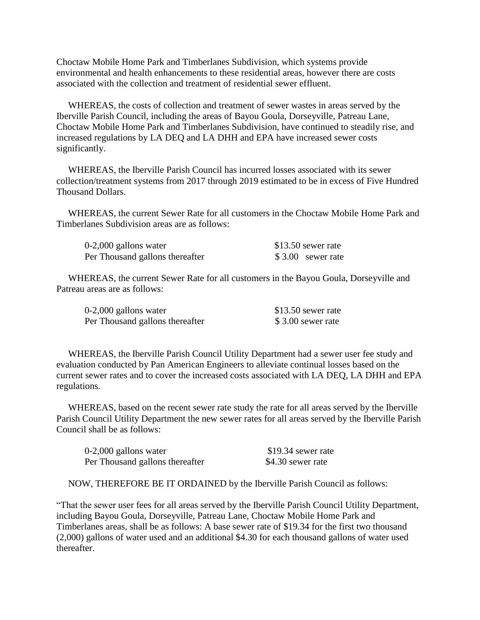Choctaw Mobile Home Park and Timberlanes Subdivision, which systems provide environmental and health enhancements to these residential areas, however there are costs associated with the collection and treatment of residential sewer effluent.

 WHEREAS, the costs of collection and treatment of sewer wastes in areas served by the Iberville Parish Council, including the areas of Bayou Goula, Dorseyville, Patreau Lane, Choctaw Mobile Home Park and Timberlanes Subdivision, have continued to steadily rise, and increased regulations by LA DEQ and LA DHH and EPA have increased sewer costs significantly.

 WHEREAS, the Iberville Parish Council has incurred losses associated with its sewer collection/treatment systems from 2017 through 2019 estimated to be in excess of Five Hundred Thousand Dollars.

 WHEREAS, the current Sewer Rate for all customers in the Choctaw Mobile Home Park and Timberlanes Subdivision areas are as follows:

| 0-2,000 gallons water           | \$13.50 sewer rate |
|---------------------------------|--------------------|
| Per Thousand gallons thereafter | \$3.00 sewer rate  |

 WHEREAS, the current Sewer Rate for all customers in the Bayou Goula, Dorseyville and Patreau areas are as follows:

| $0-2,000$ gallons water         | \$13.50 sewer rate |
|---------------------------------|--------------------|
| Per Thousand gallons thereafter | \$3.00 sewer rate  |

 WHEREAS, the Iberville Parish Council Utility Department had a sewer user fee study and evaluation conducted by Pan American Engineers to alleviate continual losses based on the current sewer rates and to cover the increased costs associated with LA DEQ, LA DHH and EPA regulations.

 WHEREAS, based on the recent sewer rate study the rate for all areas served by the Iberville Parish Council Utility Department the new sewer rates for all areas served by the Iberville Parish Council shall be as follows:

| $0-2,000$ gallons water         | \$19.34 sewer rate |
|---------------------------------|--------------------|
| Per Thousand gallons thereafter | \$4.30 sewer rate  |

NOW, THEREFORE BE IT ORDAINED by the Iberville Parish Council as follows:

"That the sewer user fees for all areas served by the Iberville Parish Council Utility Department, including Bayou Goula, Dorseyville, Patreau Lane, Choctaw Mobile Home Park and Timberlanes areas, shall be as follows: A base sewer rate of \$19.34 for the first two thousand (2,000) gallons of water used and an additional \$4.30 for each thousand gallons of water used thereafter.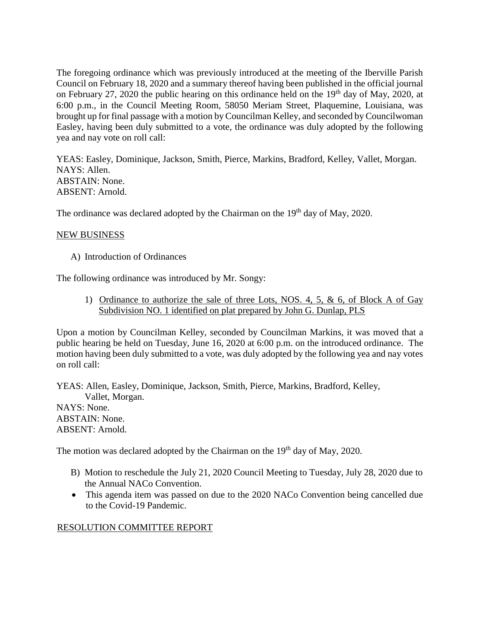The foregoing ordinance which was previously introduced at the meeting of the Iberville Parish Council on February 18, 2020 and a summary thereof having been published in the official journal on February 27, 2020 the public hearing on this ordinance held on the 19<sup>th</sup> day of May, 2020, at 6:00 p.m., in the Council Meeting Room, 58050 Meriam Street, Plaquemine, Louisiana, was brought up for final passage with a motion by Councilman Kelley, and seconded by Councilwoman Easley, having been duly submitted to a vote, the ordinance was duly adopted by the following yea and nay vote on roll call:

YEAS: Easley, Dominique, Jackson, Smith, Pierce, Markins, Bradford, Kelley, Vallet, Morgan. NAYS: Allen. ABSTAIN: None. ABSENT: Arnold.

The ordinance was declared adopted by the Chairman on the 19<sup>th</sup> day of May, 2020.

#### NEW BUSINESS

A) Introduction of Ordinances

The following ordinance was introduced by Mr. Songy:

1) Ordinance to authorize the sale of three Lots, NOS. 4, 5, & 6, of Block A of Gay Subdivision NO. 1 identified on plat prepared by John G. Dunlap, PLS

Upon a motion by Councilman Kelley, seconded by Councilman Markins, it was moved that a public hearing be held on Tuesday, June 16, 2020 at 6:00 p.m. on the introduced ordinance. The motion having been duly submitted to a vote, was duly adopted by the following yea and nay votes on roll call:

YEAS: Allen, Easley, Dominique, Jackson, Smith, Pierce, Markins, Bradford, Kelley, Vallet, Morgan. NAYS: None. ABSTAIN: None. ABSENT: Arnold.

The motion was declared adopted by the Chairman on the 19<sup>th</sup> day of May, 2020.

- B) Motion to reschedule the July 21, 2020 Council Meeting to Tuesday, July 28, 2020 due to the Annual NACo Convention.
- This agenda item was passed on due to the 2020 NACo Convention being cancelled due to the Covid-19 Pandemic.

## RESOLUTION COMMITTEE REPORT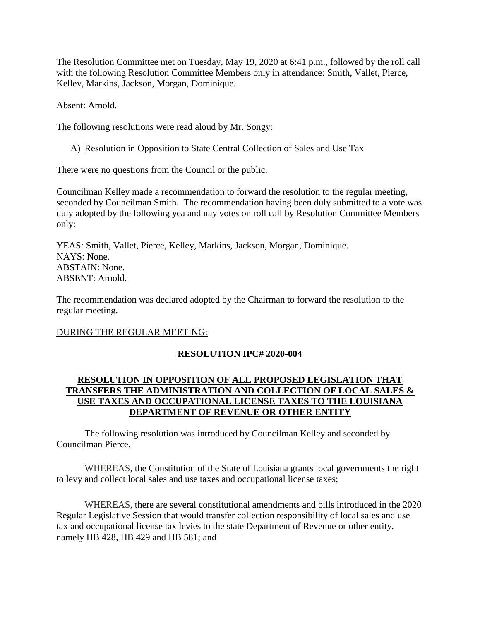The Resolution Committee met on Tuesday, May 19, 2020 at 6:41 p.m., followed by the roll call with the following Resolution Committee Members only in attendance: Smith, Vallet, Pierce, Kelley, Markins, Jackson, Morgan, Dominique.

Absent: Arnold.

The following resolutions were read aloud by Mr. Songy:

## A) Resolution in Opposition to State Central Collection of Sales and Use Tax

There were no questions from the Council or the public.

Councilman Kelley made a recommendation to forward the resolution to the regular meeting, seconded by Councilman Smith. The recommendation having been duly submitted to a vote was duly adopted by the following yea and nay votes on roll call by Resolution Committee Members only:

YEAS: Smith, Vallet, Pierce, Kelley, Markins, Jackson, Morgan, Dominique. NAYS: None. ABSTAIN: None. ABSENT: Arnold.

The recommendation was declared adopted by the Chairman to forward the resolution to the regular meeting.

## DURING THE REGULAR MEETING:

## **RESOLUTION IPC# 2020-004**

## **RESOLUTION IN OPPOSITION OF ALL PROPOSED LEGISLATION THAT TRANSFERS THE ADMINISTRATION AND COLLECTION OF LOCAL SALES & USE TAXES AND OCCUPATIONAL LICENSE TAXES TO THE LOUISIANA DEPARTMENT OF REVENUE OR OTHER ENTITY**

The following resolution was introduced by Councilman Kelley and seconded by Councilman Pierce.

WHEREAS, the Constitution of the State of Louisiana grants local governments the right to levy and collect local sales and use taxes and occupational license taxes;

WHEREAS, there are several constitutional amendments and bills introduced in the 2020 Regular Legislative Session that would transfer collection responsibility of local sales and use tax and occupational license tax levies to the state Department of Revenue or other entity, namely HB 428, HB 429 and HB 581; and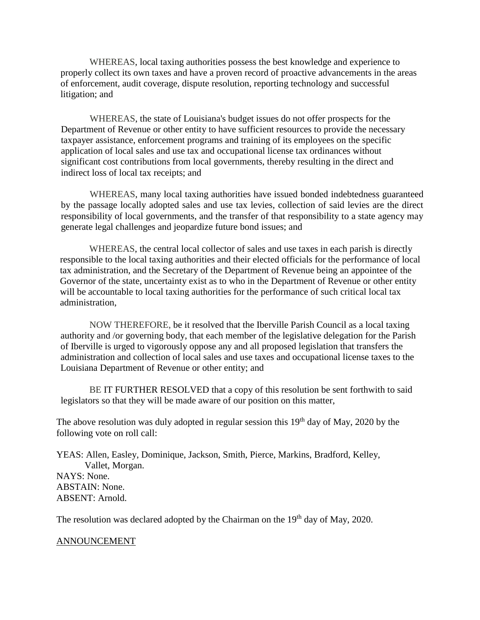WHEREAS, local taxing authorities possess the best knowledge and experience to properly collect its own taxes and have a proven record of proactive advancements in the areas of enforcement, audit coverage, dispute resolution, reporting technology and successful litigation; and

WHEREAS, the state of Louisiana's budget issues do not offer prospects for the Department of Revenue or other entity to have sufficient resources to provide the necessary taxpayer assistance, enforcement programs and training of its employees on the specific application of local sales and use tax and occupational license tax ordinances without significant cost contributions from local governments, thereby resulting in the direct and indirect loss of local tax receipts; and

WHEREAS, many local taxing authorities have issued bonded indebtedness guaranteed by the passage locally adopted sales and use tax levies, collection of said levies are the direct responsibility of local governments, and the transfer of that responsibility to a state agency may generate legal challenges and jeopardize future bond issues; and

WHEREAS, the central local collector of sales and use taxes in each parish is directly responsible to the local taxing authorities and their elected officials for the performance of local tax administration, and the Secretary of the Department of Revenue being an appointee of the Governor of the state, uncertainty exist as to who in the Department of Revenue or other entity will be accountable to local taxing authorities for the performance of such critical local tax administration,

NOW THEREFORE, be it resolved that the Iberville Parish Council as a local taxing authority and /or governing body, that each member of the legislative delegation for the Parish of Iberville is urged to vigorously oppose any and all proposed legislation that transfers the administration and collection of local sales and use taxes and occupational license taxes to the Louisiana Department of Revenue or other entity; and

BE IT FURTHER RESOLVED that a copy of this resolution be sent forthwith to said legislators so that they will be made aware of our position on this matter,

The above resolution was duly adopted in regular session this  $19<sup>th</sup>$  day of May, 2020 by the following vote on roll call:

YEAS: Allen, Easley, Dominique, Jackson, Smith, Pierce, Markins, Bradford, Kelley, Vallet, Morgan. NAYS: None. ABSTAIN: None. ABSENT: Arnold.

The resolution was declared adopted by the Chairman on the 19<sup>th</sup> day of May, 2020.

#### ANNOUNCEMENT